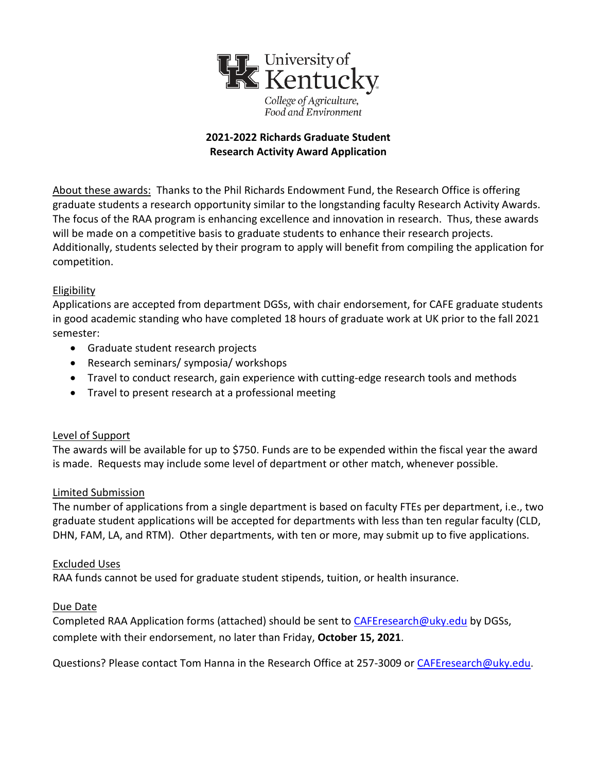

# **2021-2022 Richards Graduate Student Research Activity Award Application**

About these awards: Thanks to the Phil Richards Endowment Fund, the Research Office is offering graduate students a research opportunity similar to the longstanding faculty Research Activity Awards. The focus of the RAA program is enhancing excellence and innovation in research. Thus, these awards will be made on a competitive basis to graduate students to enhance their research projects. Additionally, students selected by their program to apply will benefit from compiling the application for competition.

## Eligibility

Applications are accepted from department DGSs, with chair endorsement, for CAFE graduate students in good academic standing who have completed 18 hours of graduate work at UK prior to the fall 2021 semester:

- Graduate student research projects
- Research seminars/ symposia/ workshops
- Travel to conduct research, gain experience with cutting-edge research tools and methods
- Travel to present research at a professional meeting

## Level of Support

The awards will be available for up to \$750. Funds are to be expended within the fiscal year the award is made. Requests may include some level of department or other match, whenever possible.

## Limited Submission

The number of applications from a single department is based on faculty FTEs per department, i.e., two graduate student applications will be accepted for departments with less than ten regular faculty (CLD, DHN, FAM, LA, and RTM). Other departments, with ten or more, may submit up to five applications.

## Excluded Uses

RAA funds cannot be used for graduate student stipends, tuition, or health insurance.

## Due Date

Completed RAA Application forms (attached) should be sent to [CAFEresearch@uky.edu](mailto:CAFEresearch@uky.edu) by DGSs, complete with their endorsement, no later than Friday, **October 15, 2021**.

Questions? Please contact Tom Hanna in the Research Office at 257-3009 or [CAFEresearch@uky.edu.](mailto:CAFEresearch@uky.edu)